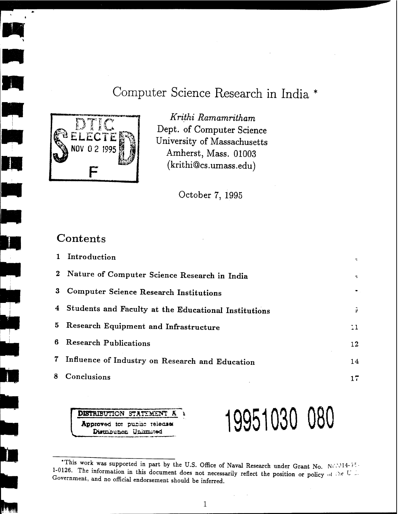# Computer Science Research in India \*



m<br>In

 $\frac{1}{2}$ 

Krithi Ramamritham Dept. of Computer Science University of Massachusetts Amherst, Mass. 01003  $(krithi@cs.umass.edu)$ 

October 7, 1995

### Contents

|                | Introduction                                           |                 |
|----------------|--------------------------------------------------------|-----------------|
|                | 2 Nature of Computer Science Research in India         | ÷               |
|                | 3 Computer Science Research Institutions               |                 |
|                | 4 Students and Faculty at the Educational Institutions | G               |
|                | 5 Research Equipment and Infrastructure                | $\overline{11}$ |
|                | 6 Research Publications                                | 12              |
| 7 <sup>1</sup> | Influence of Industry on Research and Education        | 14              |
| 8              | Conclusions                                            | $17\,$          |

**DISTRIBUTION STATEMED** Approved tor public release Distribution Unimited

# 19951030 080

 $\mathbf 1$ 

<sup>\*</sup>This work was supported in part by the U.S. Office of Naval Research under Grant No. NON14-35. 1-0126. The information in this document does not necessarily reflect the position or policy of the U. Government, and no official endorsement should be inferred.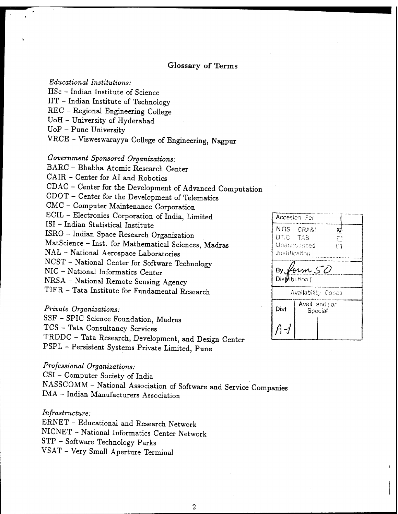#### **Glossary of Terms**

Educational Institutions: IISc - Indian Institute of Science IIT - Indian Institute of Technology REC - Regional Engineering College UoH - University of Hyderabad  $UoP - Pune University$ VRCE - Visweswarayya College of Engineering, Nagpur

Government Sponsored Organizations: BARC - Bhabha Atomic Research Center CAIR - Center for AI and Robotics CDAC - Center for the Development of Advanced Computation CDOT - Center for the Development of Telematics CMC - Computer Maintenance Corporation ECIL - Electronics Corporation of India, Limited ISI - Indian Statistical Institute ISRO - Indian Space Research Organization MatScience - Inst. for Mathematical Sciences, Madras NAL - National Aerospace Laboratories NCST - National Center for Software Technology NIC - National Informatics Center NRSA - National Remote Sensing Agency TIFR - Tata Institute for Fundamental Research

Private Organizations: SSF - SPIC Science Foundation, Madras

TCS - Tata Consultancy Services

TRDDC - Tata Research, Development, and Design Center PSPL - Persistent Systems Private Limited, Pune

Professional Organizations:

CSI - Computer Society of India

NASSCOMM - National Association of Software and Service Companies IMA - Indian Manufacturers Association

#### $Infrastructure$ :

ERNET - Educational and Research Network NICNET - National Informatics Center Network STP - Software Technology Parks VSAT - Very Small Aperture Terminal

|                                  | Accesion For                          |              |  |  |  |  |  |
|----------------------------------|---------------------------------------|--------------|--|--|--|--|--|
| DTIC TAS<br><b>Justification</b> | NTIS CRA&!<br>Unannounced             | N<br>П<br>Г, |  |  |  |  |  |
|                                  | By form $50$<br>Dis <i>vibution  </i> |              |  |  |  |  |  |
|                                  | Availability Codes                    |              |  |  |  |  |  |
| Dist                             | Avail and jor<br>Special              |              |  |  |  |  |  |
|                                  |                                       |              |  |  |  |  |  |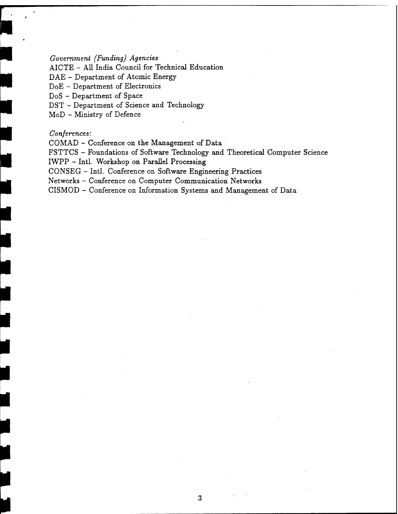*Government (Funding) Agencies*

AICTE - All India Council for Technical Education

DAE - Department of Atomic Energy

DoE - Department of Electronics

DoS - Department of Space

DST - Department of Science and Technology

MoD - Ministry of Defence

#### *Conferences:*

COMAD - Conference on the Management of Data

FSTTCS - Foundations of Software Technology and Theoretical Computer Science IWPP - Intl. Workshop on Parallel Processing

CONSEG - Intl. Conference on Software Engineering Practices

Networks - Conference on Computer Communication Networks

CISMOD - Conference on Information Systems and Management of Data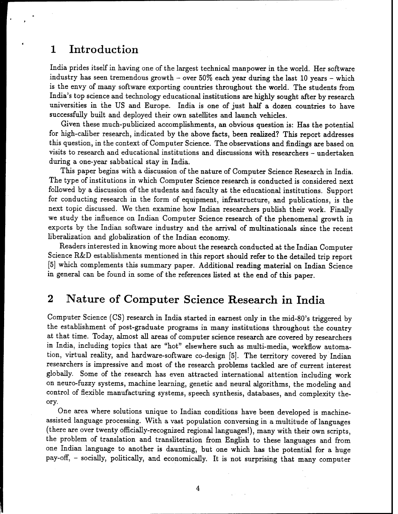## <sup>1</sup> Introduction

India prides itself in having one of the largest technical manpower in the world. Her software industry has seen tremendous growth - over  $50\%$  each year during the last 10 years - which is the envy of many software exporting countries throughout the world. The students from India's top science and technology educational institutions are highly sought after by research universities in the US and Europe. India is one of just half a dozen countries to have successfully built and deployed their own satellites and launch vehicles.

Given these much-publicized accomplishments, an obvious question is: Has the potential for high-caliber research, indicated by the above facts, been realized? This report addresses this question, in the context of Computer Science. The observations and findings are based on visits to research and educational institutions and discussions with researchers - undertaken during a one-year sabbatical stay in India.

This paper begins with a discussion of the nature of Computer Science Research in India. The type of institutions in which Computer Science research is conducted is considered next followed by a discussion of the students and faculty at the educational institutions. Support for conducting research in the form of equipment, infrastructure, and publications, is the next topic discussed. We then examine how Indian researchers publish their work. Finally we study the influence on Indian Computer Science research of the phenomenal growth in exports by the Indian software industry and the arrival of multinationals since the recent liberalization and globalization of the Indian economy.

Readers interested in knowing more about the research conducted at the Indian Computer Science R&D establishments mentioned in this report should refer to the detailed trip report [5] which complements this summary paper. Additional reading material on Indian Science in general can be found in some of the references listed at the end of this paper.

# 2 Nature of Computer Science Research in India

Computer Science (CS) research in India started in earnest only in the mid-80's triggered by the establishment of post-graduate programs in many institutions throughout the country at that time. Today, almost all areas of computer science research are covered by researchers in India, including topics that are "hot" elsewhere such as multi-media, workflow automation, virtual reality, and hardware-software co-design [5]. The territory covered by Indian researchers is impressive and most of the research problems tackled are of current interest globally. Some of the research has even attracted international attention including work on neuro-fuzzy systems, machine learning, genetic and neural algorithms, the modeling and control of flexible manufacturing systems, speech synthesis, databases, and complexity theory.

One area where solutions unique to Indian conditions have been developed is machineassisted language processing. With a vast population conversing in a multitude of languages (there are over twenty officially-recognized regional languages!), many with their own scripts, the problem of translation and transliteration from English to these languages and from one Indian language to another is daunting, but one which has the potential for a huge pay-off, - socially, politically, and economically. It is not surprising that many computer

4